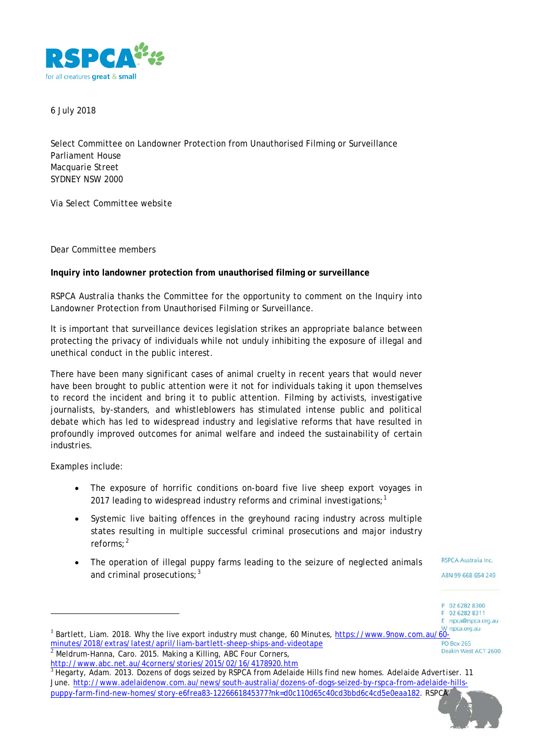

6 July 2018

Select Committee on Landowner Protection from Unauthorised Filming or Surveillance Parliament House Macquarie Street SYDNEY NSW 2000

Via *Select Committee website*

Dear Committee members

**Inquiry into landowner protection from unauthorised filming or surveillance**

RSPCA Australia thanks the Committee for the opportunity to comment on the Inquiry into Landowner Protection from Unauthorised Filming or Surveillance.

It is important that surveillance devices legislation strikes an appropriate balance between protecting the privacy of individuals while not unduly inhibiting the exposure of illegal and unethical conduct in the public interest.

There have been many significant cases of animal cruelty in recent years that would never have been brought to public attention were it not for individuals taking it upon themselves to record the incident and bring it to public attention. Filming by activists, investigative journalists, by-standers, and whistleblowers has stimulated intense public and political debate which has led to widespread industry and legislative reforms that have resulted in profoundly improved outcomes for animal welfare and indeed the sustainability of certain industries.

Examples include:

-

- The exposure of horrific conditions on-board five live sheep export voyages in 20[1](#page-0-0)7 leading to widespread industry reforms and criminal investigations;<sup>1</sup>
- Systemic live baiting offences in the greyhound racing industry across multiple states resulting in multiple successful criminal prosecutions and major industry reforms; [2](#page-0-1)
- The operation of illegal puppy farms leading to the seizure of neglected animals and criminal prosecutions;  $3$

**RSPCA Australia Inc.** 

ABN 99 668 654 249

P 02 6282 8300 F 02 6282 8311 E rspca@rspca.org.au

<span id="page-0-2"></span><sup>3</sup> Hegarty, Adam. 2013. Dozens of dogs seized by RSPCA from Adelaide Hills find new homes. *Adelaide Advertiser*. 11 June[. http://www.adelaidenow.com.au/news/south-australia/dozens-of-dogs-seized-by-rspca-from-adelaide-hills](http://www.adelaidenow.com.au/news/south-australia/dozens-of-dogs-seized-by-rspca-from-adelaide-hills-puppy-farm-find-new-homes/story-e6frea83-1226661845377?nk=d0c110d65c40cd3bbd6c4cd5e0eaa182)[puppy-farm-find-new-homes/story-e6frea83-1226661845377?nk=d0c110d65c40cd3bbd6c4cd5e0eaa182.](http://www.adelaidenow.com.au/news/south-australia/dozens-of-dogs-seized-by-rspca-from-adelaide-hills-puppy-farm-find-new-homes/story-e6frea83-1226661845377?nk=d0c110d65c40cd3bbd6c4cd5e0eaa182) RSPCA



<span id="page-0-0"></span><sup>1</sup> Bartlett, Liam. 2018. Why the live export industry must change, 60 Minutes, [https://www.9now.com.au/60-](https://www.9now.com.au/60-minutes/2018/extras/latest/april/liam-bartlett-sheep-ships-and-videotape)<br>10 Bosx 265 minutes/2018/extras/latest/april/liam-bartlett-sheep-ships-and-videotape **PO Box 265** Deakin West ACT 2600 Meldrum-Hanna, Caro. 2015. Making a Killing, ABC Four Corners,

<span id="page-0-1"></span><http://www.abc.net.au/4corners/stories/2015/02/16/4178920.htm>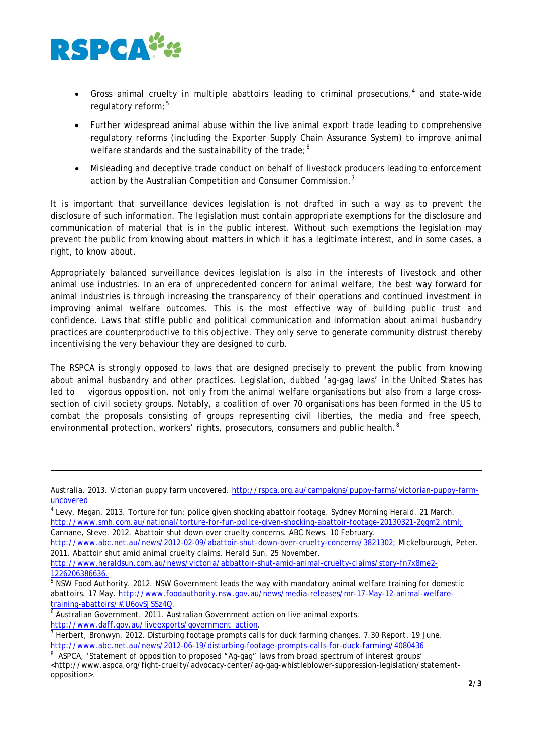

1

- Gross animal cruelty in multiple abattoirs leading to criminal prosecutions,<sup>[4](#page-1-0)</sup> and state-wide regulatory reform;<sup>[5](#page-1-1)</sup>
- Further widespread animal abuse within the live animal export trade leading to comprehensive regulatory reforms (including the Exporter Supply Chain Assurance System) to improve animal welfare standards and the sustainability of the trade;<sup>[6](#page-1-2)</sup>
- Misleading and deceptive trade conduct on behalf of livestock producers leading to enforcement action by the Australian Competition and Consumer Commission. $^{\prime}$

It is important that surveillance devices legislation is not drafted in such a way as to prevent the disclosure of such information. The legislation must contain appropriate exemptions for the disclosure and communication of material that is in the public interest. Without such exemptions the legislation may prevent the public from knowing about matters in which it has a legitimate interest, and in some cases, a right, to know about.

Appropriately balanced surveillance devices legislation is also in the interests of livestock and other animal use industries. In an era of unprecedented concern for animal welfare, the best way forward for animal industries is through increasing the transparency of their operations and continued investment in improving animal welfare outcomes. This is the most effective way of building public trust and confidence. Laws that stifle public and political communication and information about animal husbandry practices are counterproductive to this objective. They only serve to generate community distrust thereby incentivising the very behaviour they are designed to curb.

The RSPCA is strongly opposed to laws that are designed precisely to prevent the public from knowing about animal husbandry and other practices. Legislation, dubbed 'ag-gag laws' in the United States has led to vigorous opposition, not only from the animal welfare organisations but also from a large crosssection of civil society groups. Notably, a coalition of over 70 organisations has been formed in the US to combat the proposals consisting of groups representing civil liberties, the media and free speech, environmental protection, workers' rights, prosecutors, consumers and public health.<sup>[8](#page-1-4)</sup>

<span id="page-1-0"></span><sup>4</sup> Levy, Megan. 2013. Torture for fun: police given shocking abattoir footage. *Sydney Morning Herald*. 21 March. [http://www.smh.com.au/national/torture-for-fun-police-given-shocking-abattoir-footage-20130321-2ggm2.html;](http://www.smh.com.au/national/torture-for-fun-police-given-shocking-abattoir-footage-20130321-2ggm2.html) Cannane, Steve. 2012. Abattoir shut down over cruelty concerns. *ABC News.* 10 February.

[http://www.heraldsun.com.au/news/victoria/abbattoir-shut-amid-animal-cruelty-claims/story-fn7x8me2-](http://www.heraldsun.com.au/news/victoria/abbattoir-shut-amid-animal-cruelty-claims/story-fn7x8me2-1226206386636)

<span id="page-1-1"></span>[1226206386636.](http://www.heraldsun.com.au/news/victoria/abbattoir-shut-amid-animal-cruelty-claims/story-fn7x8me2-1226206386636)<br><sup>[5](http://www.heraldsun.com.au/news/victoria/abbattoir-shut-amid-animal-cruelty-claims/story-fn7x8me2-1226206386636)</sup> NSW Food Authority. 2012. NSW Government leads the way with mandatory animal welfare training for domestic abattoirs. 17 May. [http://www.foodauthority.nsw.gov.au/news/media-releases/mr-17-May-12-animal-welfare](http://www.foodauthority.nsw.gov.au/news/media-releases/mr-17-May-12-animal-welfare-training-abattoirs/#.U6ovSJSSz4Q)[training-abattoirs/#.U6ovSJSSz4Q.](http://www.foodauthority.nsw.gov.au/news/media-releases/mr-17-May-12-animal-welfare-training-abattoirs/#.U6ovSJSSz4Q)<br><sup>[6](http://www.foodauthority.nsw.gov.au/news/media-releases/mr-17-May-12-animal-welfare-training-abattoirs/#.U6ovSJSSz4Q)</sup> Australian Government. 2011. Australian Government action on live animal exports.

Australia. 2013. Victorian puppy farm uncovered. [http://rspca.org.au/campaigns/puppy-farms/victorian-puppy-farm](http://rspca.org.au/campaigns/puppy-farms/victorian-puppy-farm-uncovered)[uncovered](http://rspca.org.au/campaigns/puppy-farms/victorian-puppy-farm-uncovered)

[http://www.abc.net.au/news/2012-02-09/abattoir-shut-down-over-cruelty-concerns/3821302;](http://www.abc.net.au/news/2012-02-09/abattoir-shut-down-over-cruelty-concerns/3821302) Mickelburough, Peter. 2011. Abattoir shut amid animal cruelty claims. *Herald Sun.* 25 November.

<span id="page-1-2"></span>

<span id="page-1-3"></span>[http://www.daff.gov.au/liveexports/government\\_action.](http://www.daff.gov.au/liveexports/government_action)<br><sup>[7](http://www.daff.gov.au/liveexports/government_action)</sup> Herbert, Bronwyn. 2012. Disturbing footage prompts calls for duck farming changes. *7.30 Report*. 19 June. <http://www.abc.net.au/news/2012-06-19/disturbing-footage-prompts-calls-for-duck-farming/4080436>

<span id="page-1-4"></span><sup>8</sup> ASPCA, 'Statement of opposition to proposed "Ag-gag" laws from broad spectrum of interest groups' <http://www.aspca.org/fight-cruelty/advocacy-center/ag-gag-whistleblower-suppression-legislation/statementopposition>.